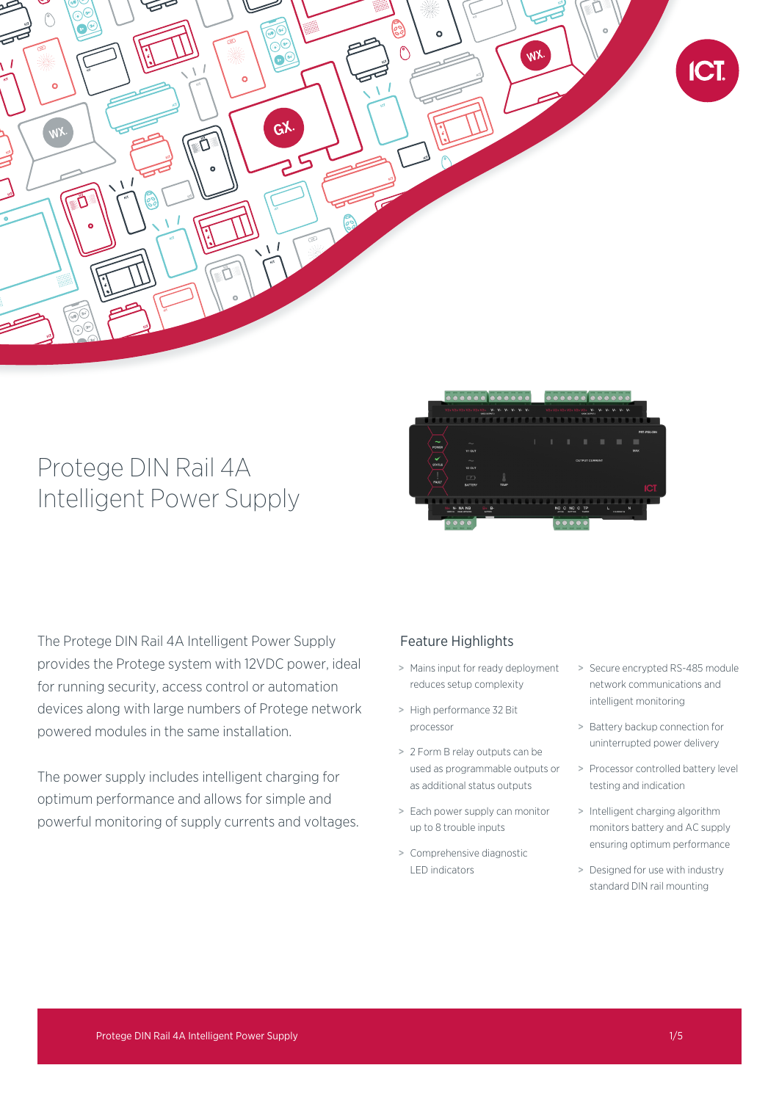

# Protege DIN Rail 4A Intelligent Power Supply



The Protege DIN Rail 4A Intelligent Power Supply provides the Protege system with 12VDC power, ideal for running security, access control or automation devices along with large numbers of Protege network powered modules in the same installation.

The power supply includes intelligent charging for optimum performance and allows for simple and powerful monitoring of supply currents and voltages.

## Feature Highlights

- > Mains input for ready deployment reduces setup complexity
- > High performance 32 Bit processor
- > 2 Form B relay outputs can be used as programmable outputs or as additional status outputs
- > Each power supply can monitor up to 8 trouble inputs
- > Comprehensive diagnostic LED indicators
- > Secure encrypted RS-485 module network communications and intelligent monitoring
- > Battery backup connection for uninterrupted power delivery
- > Processor controlled battery level testing and indication
- > Intelligent charging algorithm monitors battery and AC supply ensuring optimum performance
- > Designed for use with industry standard DIN rail mounting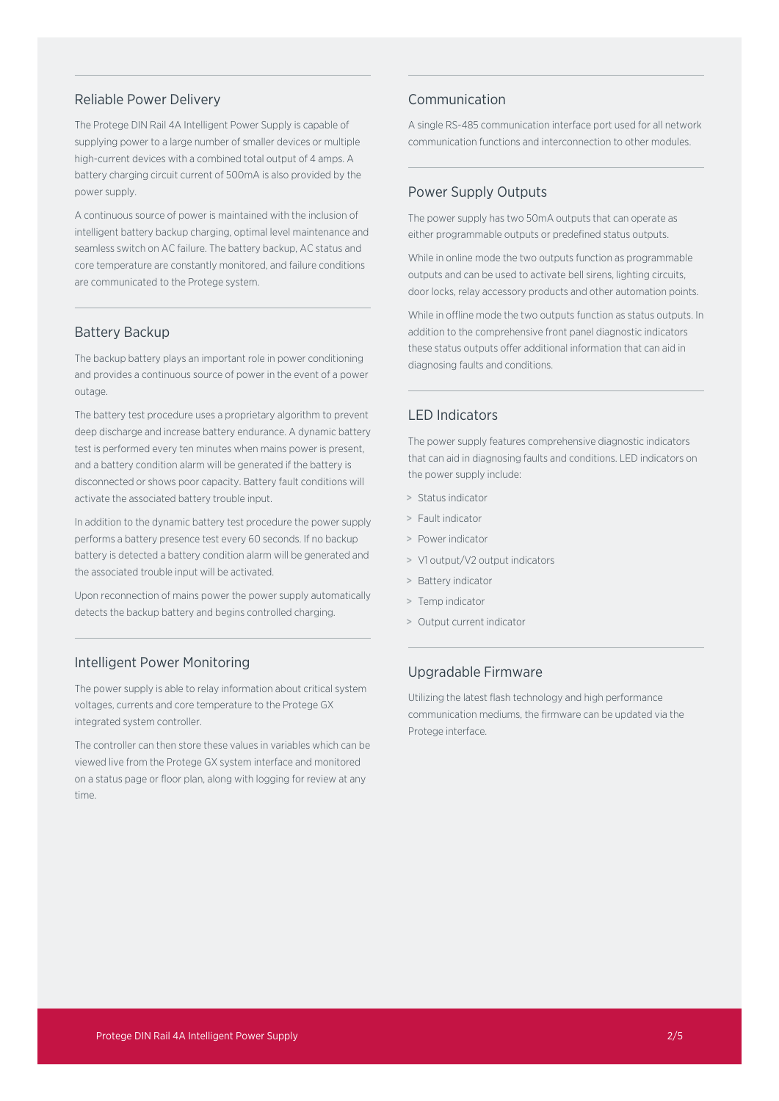## Reliable Power Delivery

The Protege DIN Rail 4A Intelligent Power Supply is capable of supplying power to a large number of smaller devices or multiple high-current devices with a combined total output of 4 amps. A battery charging circuit current of 500mA is also provided by the power supply.

A continuous source of power is maintained with the inclusion of intelligent battery backup charging, optimal level maintenance and seamless switch on AC failure. The battery backup, AC status and core temperature are constantly monitored, and failure conditions are communicated to the Protege system.

#### Battery Backup

The backup battery plays an important role in power conditioning and provides a continuous source of power in the event of a power outage.

The battery test procedure uses a proprietary algorithm to prevent deep discharge and increase battery endurance. A dynamic battery test is performed every ten minutes when mains power is present, and a battery condition alarm will be generated if the battery is disconnected or shows poor capacity. Battery fault conditions will activate the associated battery trouble input.

In addition to the dynamic battery test procedure the power supply performs a battery presence test every 60 seconds. If no backup battery is detected a battery condition alarm will be generated and the associated trouble input will be activated.

Upon reconnection of mains power the power supply automatically detects the backup battery and begins controlled charging.

### Intelligent Power Monitoring

The power supply is able to relay information about critical system voltages, currents and core temperature to the Protege GX integrated system controller.

The controller can then store these values in variables which can be viewed live from the Protege GX system interface and monitored on a status page or floor plan, along with logging for review at any time.

## Communication

A single RS-485 communication interface port used for all network communication functions and interconnection to other modules.

## Power Supply Outputs

The power supply has two 50mA outputs that can operate as either programmable outputs or predefined status outputs.

While in online mode the two outputs function as programmable outputs and can be used to activate bell sirens, lighting circuits, door locks, relay accessory products and other automation points.

While in offline mode the two outputs function as status outputs. In addition to the comprehensive front panel diagnostic indicators these status outputs offer additional information that can aid in diagnosing faults and conditions.

## LED Indicators

The power supply features comprehensive diagnostic indicators that can aid in diagnosing faults and conditions. LED indicators on the power supply include:

- > Status indicator
- > Fault indicator
- > Power indicator
- > V1 output/V2 output indicators
- > Battery indicator
- > Temp indicator
- > Output current indicator

## Upgradable Firmware

Utilizing the latest flash technology and high performance communication mediums, the firmware can be updated via the Protege interface.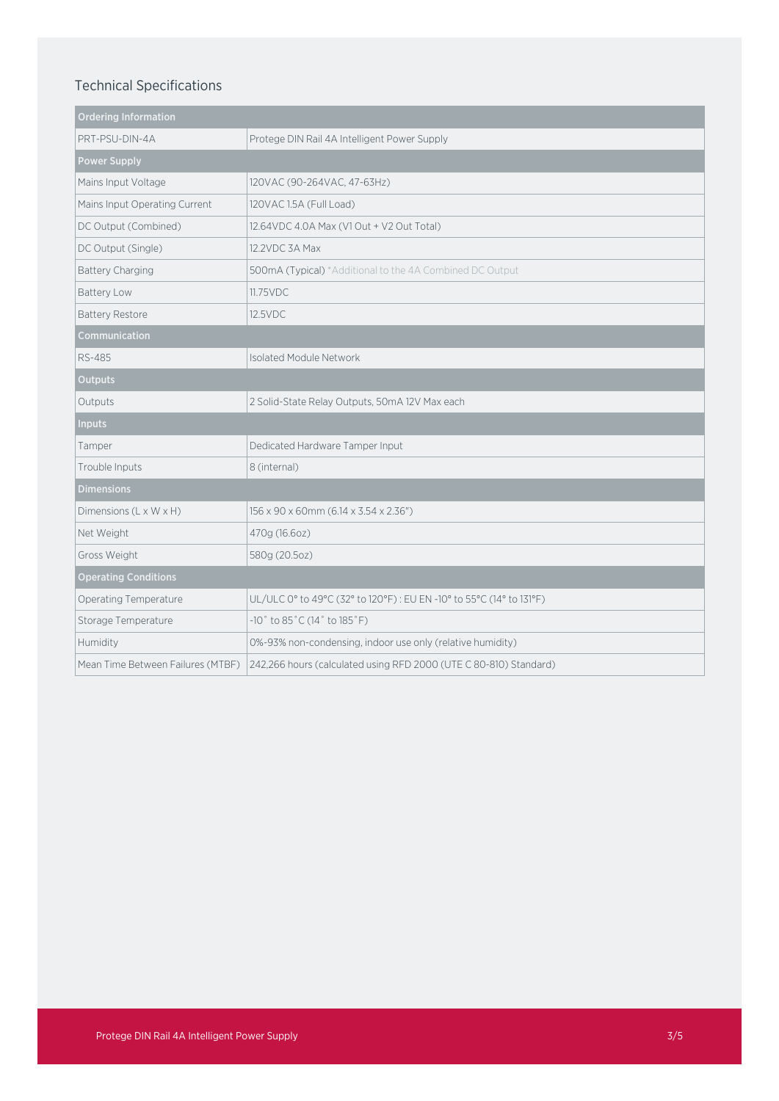# Technical Specifications

| <b>Ordering Information</b>       |                                                                      |
|-----------------------------------|----------------------------------------------------------------------|
| PRT-PSU-DIN-4A                    | Protege DIN Rail 4A Intelligent Power Supply                         |
| <b>Power Supply</b>               |                                                                      |
| Mains Input Voltage               | 120VAC (90-264VAC, 47-63Hz)                                          |
| Mains Input Operating Current     | 120VAC 1.5A (Full Load)                                              |
| DC Output (Combined)              | 12.64 VDC 4.0A Max (V1 Out + V2 Out Total)                           |
| DC Output (Single)                | 12.2VDC 3A Max                                                       |
| Battery Charging                  | 500mA (Typical) *Additional to the 4A Combined DC Output             |
| Battery Low                       | 11.75VDC                                                             |
| <b>Battery Restore</b>            | 12.5VDC                                                              |
| Communication                     |                                                                      |
| <b>RS-485</b>                     | <b>Isolated Module Network</b>                                       |
| <b>Outputs</b>                    |                                                                      |
| Outputs                           | 2 Solid-State Relay Outputs, 50mA 12V Max each                       |
| <b>Inputs</b>                     |                                                                      |
| Tamper                            | Dedicated Hardware Tamper Input                                      |
| Trouble Inputs                    | 8 (internal)                                                         |
| <b>Dimensions</b>                 |                                                                      |
| Dimensions (L x W x H)            | 156 x 90 x 60mm (6.14 x 3.54 x 2.36")                                |
| Net Weight                        | 470g (16.6oz)                                                        |
| Gross Weight                      | 580g (20.5oz)                                                        |
| <b>Operating Conditions</b>       |                                                                      |
| Operating Temperature             | UL/ULC 0° to 49°C (32° to 120°F) : EU EN -10° to 55°C (14° to 131°F) |
| Storage Temperature               | $-10$ ° to 85°C (14° to 185°F)                                       |
| Humidity                          | 0%-93% non-condensing, indoor use only (relative humidity)           |
| Mean Time Between Failures (MTBF) | 242,266 hours (calculated using RFD 2000 (UTE C 80-810) Standard)    |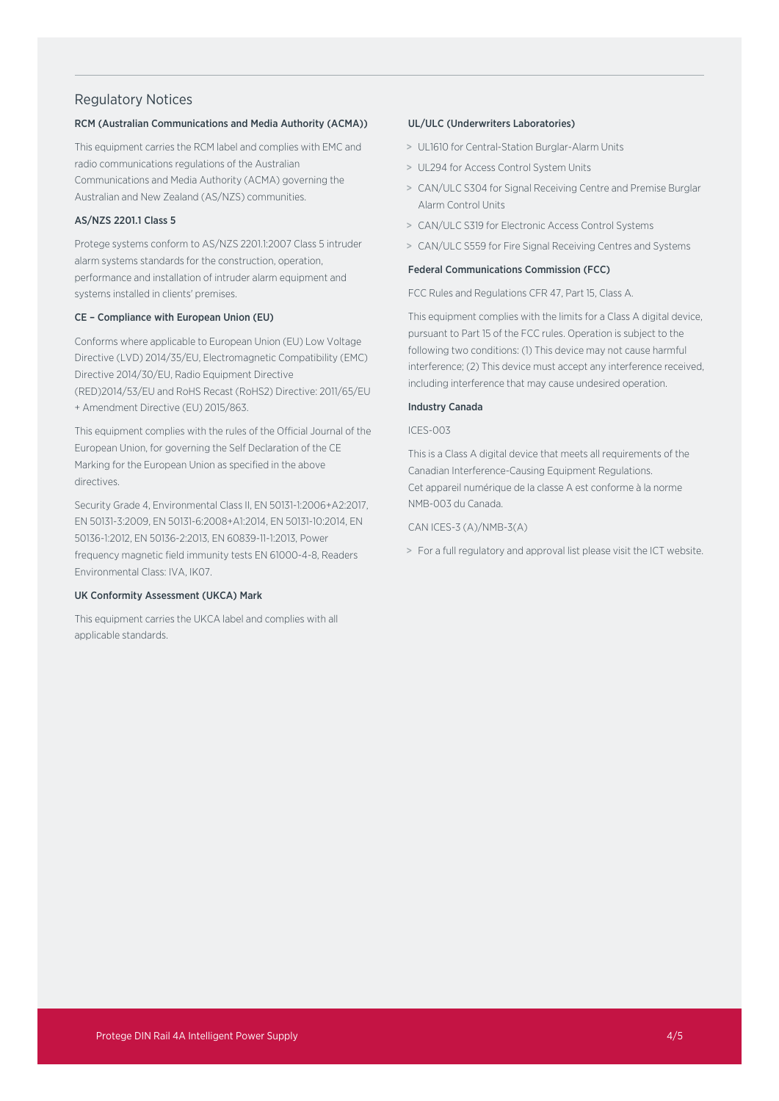## Regulatory Notices

#### RCM (Australian Communications and Media Authority (ACMA))

This equipment carries the RCM label and complies with EMC and radio communications regulations of the Australian Communications and Media Authority (ACMA) governing the Australian and New Zealand (AS/NZS) communities.

#### AS/NZS 2201.1 Class 5

Protege systems conform to AS/NZS 2201.1:2007 Class 5 intruder alarm systems standards for the construction, operation, performance and installation of intruder alarm equipment and systems installed in clients' premises.

#### CE – Compliance with European Union (EU)

Conforms where applicable to European Union (EU) Low Voltage Directive (LVD) 2014/35/EU, Electromagnetic Compatibility (EMC) Directive 2014/30/EU, Radio Equipment Directive (RED)2014/53/EU and RoHS Recast (RoHS2) Directive: 2011/65/EU + Amendment Directive (EU) 2015/863.

This equipment complies with the rules of the Official Journal of the European Union, for governing the Self Declaration of the CE Marking for the European Union as specified in the above directives.

Security Grade 4, Environmental Class II, EN 50131-1:2006+A2:2017, EN 50131-3:2009, EN 50131-6:2008+A1:2014, EN 50131-10:2014, EN 50136-1:2012, EN 50136-2:2013, EN 60839-11-1:2013, Power frequency magnetic field immunity tests EN 61000-4-8, Readers Environmental Class: IVA, IK07.

#### UK Conformity Assessment (UKCA) Mark

This equipment carries the UKCA label and complies with all applicable standards.

#### UL/ULC (Underwriters Laboratories)

- > UL1610 for Central-Station Burglar-Alarm Units
- > UL294 for Access Control System Units
- > CAN/ULC S304 for Signal Receiving Centre and Premise Burglar Alarm Control Units
- > CAN/ULC S319 for Electronic Access Control Systems
- > CAN/ULC S559 for Fire Signal Receiving Centres and Systems

#### Federal Communications Commission (FCC)

FCC Rules and Regulations CFR 47, Part 15, Class A.

This equipment complies with the limits for a Class A digital device, pursuant to Part 15 of the FCC rules. Operation is subject to the following two conditions: (1) This device may not cause harmful interference; (2) This device must accept any interference received, including interference that may cause undesired operation.

#### Industry Canada

#### ICES-003

This is a Class A digital device that meets all requirements of the Canadian Interference-Causing Equipment Regulations. Cet appareil numérique de la classe A est conforme à la norme NMB-003 du Canada.

CAN ICES-3 (A)/NMB-3(A)

> For a full regulatory and approval list please visit the ICT website.